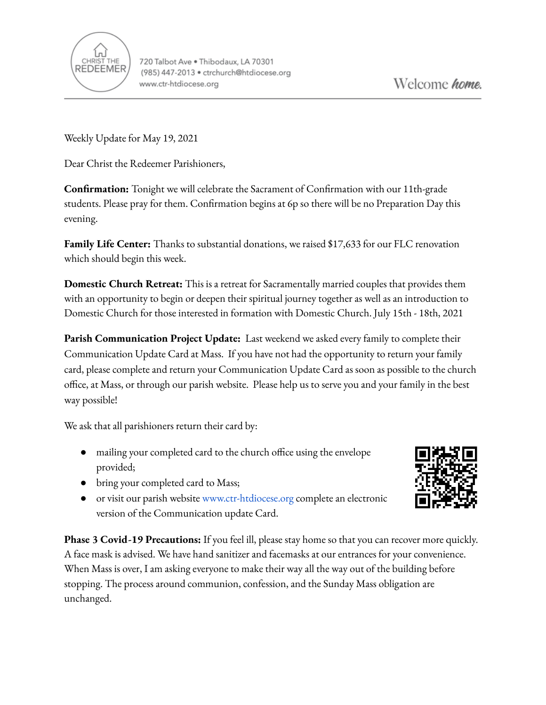

Weekly Update for May 19, 2021

Dear Christ the Redeemer Parishioners,

**Confirmation:** Tonight we will celebrate the Sacrament of Confirmation with our 11th-grade students. Please pray for them. Confirmation begins at 6p so there will be no Preparation Day this evening.

**Family Life Center:** Thanks to substantial donations, we raised \$17,633 for our FLC renovation which should begin this week.

**Domestic Church Retreat:** This is a retreat for Sacramentally married couples that provides them with an opportunity to begin or deepen their spiritual journey together as well as an introduction to Domestic Church for those interested in formation with Domestic Church. July 15th - 18th, 2021

**Parish Communication Project Update:** Last weekend we asked every family to complete their Communication Update Card at Mass. If you have not had the opportunity to return your family card, please complete and return your Communication Update Card as soon as possible to the church office, at Mass, or through our parish website. Please help us to serve you and your family in the best way possible!

We ask that all parishioners return their card by:

- mailing your completed card to the church office using the envelope provided;
- bring your completed card to Mass;
- or visit our parish website [www.ctr-htdiocese.org](http://www.ctr-htdiocese.org) complete an electronic version of the Communication update Card.



**Phase 3 Covid-19 Precautions:** If you feel ill, please stay home so that you can recover more quickly. A face mask is advised. We have hand sanitizer and facemasks at our entrances for your convenience. When Mass is over, I am asking everyone to make their way all the way out of the building before stopping. The process around communion, confession, and the Sunday Mass obligation are unchanged.